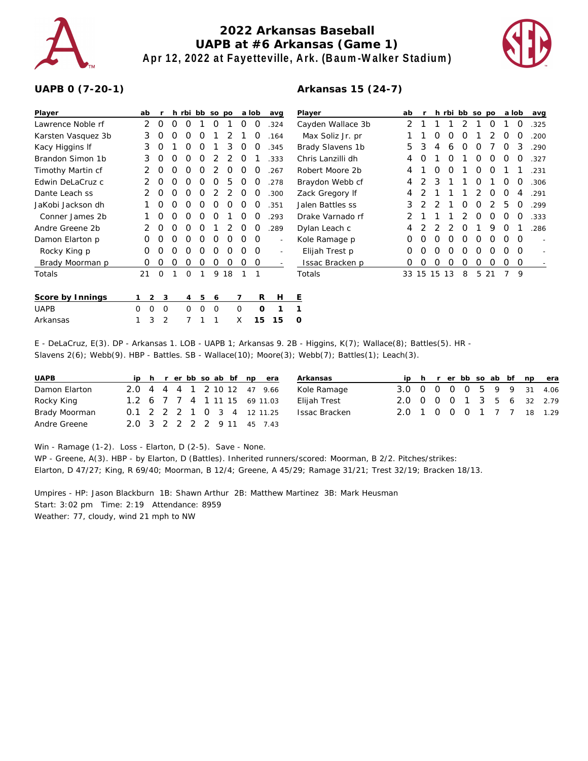

## **2022 Arkansas Baseball UAPB at #6 Arkansas (Game 1) Apr 12, 2022 at Fayetteville, Ark. (Baum-Walker Stadium)**

**Arkansas 15 (24-7)**



## **UAPB 0 (7-20-1)**

| Player             | ab       |          | h                | rbi bb so po     |                  |                  |                  |                  | a lob      | avq                      | Player            | ab |   |          |    | h rbi bb so po |   |    | a lob |          | avg  |
|--------------------|----------|----------|------------------|------------------|------------------|------------------|------------------|------------------|------------|--------------------------|-------------------|----|---|----------|----|----------------|---|----|-------|----------|------|
| Lawrence Noble rf  | 2        |          |                  |                  |                  |                  |                  |                  |            | 324                      | Cayden Wallace 3b | 2  |   |          |    |                |   |    |       | O        | .325 |
| Karsten Vasquez 3b | 3        |          |                  |                  |                  |                  |                  |                  |            | .164                     | Max Soliz Jr. pr  |    |   | Ω        |    |                |   |    | O     | O        | .200 |
| Kacy Higgins If    | 3        | $\Omega$ |                  |                  | $\Omega$         |                  | 3                | $\left( \right)$ | O          | 345                      | Brady Slavens 1b  | 5  | 3 | 4        | 6  | O              | Ω |    | Ω     | 3        | .290 |
| Brandon Simon 1b   | 3        | O        | $\left($         | $\left($ )       | $\Omega$         |                  |                  | $\left($ )       |            | 333                      | Chris Lanzilli dh | 4  | O |          | Ω  |                | O | Ο  | O     | O        | .327 |
| Timothy Martin cf  |          | $\Omega$ | $\left($         | O                | O                |                  | O                | O                | O          | 267                      | Robert Moore 2b   | 4  |   | O        | O  |                | O | O  |       |          | 231  |
| Edwin DeLaCruz c   |          | $\Omega$ | $\left( \right)$ | $\left( \right)$ | $\left( \right)$ | $\left( \right)$ | 5                | $\Omega$         | 0          | .278                     | Braydon Webb cf   | 4  |   | 3        |    |                | O |    | O     | O        | .306 |
| Dante Leach ss     |          | O        |                  |                  | $\left($ )       |                  |                  | 0                |            | 300                      | Zack Gregory If   | 4  |   |          |    |                |   | O  | Ο     | 4        | .291 |
| JaKobi Jackson dh  |          | O        |                  | $\left( \right)$ | $\left( \right)$ | $\left( \right)$ | $\left( \right)$ | <sup>O</sup>     | O          | .351                     | Jalen Battles ss  | 3  |   |          |    | Ο              | Ο |    | 5     | O        | 299  |
| Conner James 2b    |          |          |                  |                  |                  |                  |                  |                  |            | .293                     | Drake Varnado rf  | 2  |   |          |    |                | Ω | Ω  | Ω     | O        | .333 |
| Andre Greene 2b    |          |          |                  |                  |                  |                  |                  | $\left( \right)$ | $\left($ ) | .289                     | Dylan Leach c     | 4  |   |          |    | Ω              |   | 9  | O     |          | .286 |
| Damon Elarton p    | $\Omega$ |          | $\left( \right)$ | $\left( \right)$ | $\Omega$         | O                | O                | $\Omega$         | $\Omega$   | $\overline{\phantom{a}}$ | Kole Ramage p     | Ο  | Ω | O        | Ω  | Ω              | O | Ω  | Ω     | $\Omega$ |      |
| Rocky King p       | $\Omega$ |          |                  |                  | $\left( \right)$ | $\left( \right)$ | $\left($ )       | $\left( \right)$ | $\Omega$   |                          | Elijah Trest p    | Ο  |   |          |    | Ω              | Ω | Ω  | ∩     | $\Omega$ |      |
| Brady Moorman p    | O        |          |                  |                  |                  |                  |                  | O                | 0          |                          | Issac Bracken p   | Ω  |   |          |    |                |   |    | Ο     | O        |      |
| Totals             | 21       | $\Omega$ |                  | O                |                  | 9                | 18               |                  |            |                          | Totals            |    |   | 33 15 15 | 13 | 8              | 5 | 21 |       | 9        |      |
| Score by Innings   |          | 2        | 3                | $\overline{4}$   | 5                | 6                |                  |                  | R          | Н                        | Ε                 |    |   |          |    |                |   |    |       |          |      |
| <b>UAPB</b>        | $\Omega$ | $\circ$  | 0                | $\Omega$         | $\mathbf 0$      | $\circ$          |                  | $\mathbf{O}$     | $\Omega$   |                          |                   |    |   |          |    |                |   |    |       |          |      |
| Arkansas           |          | 3        | 2                |                  |                  |                  |                  | X                | 15         | 15                       | 0                 |    |   |          |    |                |   |    |       |          |      |

E - DeLaCruz, E(3). DP - Arkansas 1. LOB - UAPB 1; Arkansas 9. 2B - Higgins, K(7); Wallace(8); Battles(5). HR - Slavens 2(6); Webb(9). HBP - Battles. SB - Wallace(10); Moore(3); Webb(7); Battles(1); Leach(3).

| <b>UAPB</b>   |                              |  |  |  | iph rerbbsoab bf npera |  | Arkansas      |                           |  |  |  |  | ip h r er bb so ab bf np era |
|---------------|------------------------------|--|--|--|------------------------|--|---------------|---------------------------|--|--|--|--|------------------------------|
| Damon Elarton | 2.0 4 4 4 1 2 10 12 47 9.66  |  |  |  |                        |  | Kole Ramage   | 3.0 0 0 0 0 5 9 9 31 4.06 |  |  |  |  |                              |
| Rocky King    | 1.2 6 7 7 4 1 11 15 69 11.03 |  |  |  |                        |  | Elijah Trest  | 2.0 0 0 0 1 3 5 6 32 2.79 |  |  |  |  |                              |
| Brady Moorman | 0.1 2 2 2 1 0 3 4 12 11.25   |  |  |  |                        |  | Issac Bracken | 2.0 1 0 0 0 1 7 7 18 1.29 |  |  |  |  |                              |
| Andre Greene  | 2.0 3 2 2 2 2 9 11 45 7.43   |  |  |  |                        |  |               |                           |  |  |  |  |                              |

Win - Ramage (1-2). Loss - Elarton, D (2-5). Save - None.

WP - Greene, A(3). HBP - by Elarton, D (Battles). Inherited runners/scored: Moorman, B 2/2. Pitches/strikes: Elarton, D 47/27; King, R 69/40; Moorman, B 12/4; Greene, A 45/29; Ramage 31/21; Trest 32/19; Bracken 18/13.

Umpires - HP: Jason Blackburn 1B: Shawn Arthur 2B: Matthew Martinez 3B: Mark Heusman Start: 3:02 pm Time: 2:19 Attendance: 8959 Weather: 77, cloudy, wind 21 mph to NW